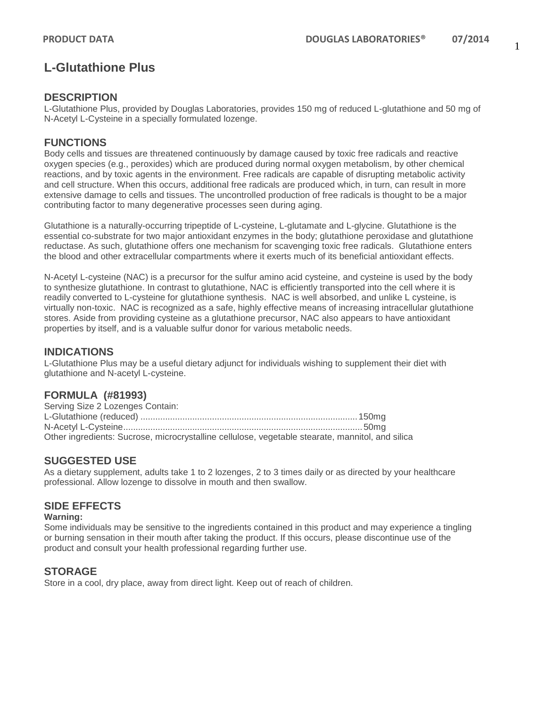# **L-Glutathione Plus**

### **DESCRIPTION**

L-Glutathione Plus, provided by Douglas Laboratories, provides 150 mg of reduced L-glutathione and 50 mg of N-Acetyl L-Cysteine in a specially formulated lozenge.

### **FUNCTIONS**

Body cells and tissues are threatened continuously by damage caused by toxic free radicals and reactive oxygen species (e.g., peroxides) which are produced during normal oxygen metabolism, by other chemical reactions, and by toxic agents in the environment. Free radicals are capable of disrupting metabolic activity and cell structure. When this occurs, additional free radicals are produced which, in turn, can result in more extensive damage to cells and tissues. The uncontrolled production of free radicals is thought to be a major contributing factor to many degenerative processes seen during aging.

Glutathione is a naturally-occurring tripeptide of L-cysteine, L-glutamate and L-glycine. Glutathione is the essential co-substrate for two major antioxidant enzymes in the body; glutathione peroxidase and glutathione reductase. As such, glutathione offers one mechanism for scavenging toxic free radicals. Glutathione enters the blood and other extracellular compartments where it exerts much of its beneficial antioxidant effects.

N-Acetyl L-cysteine (NAC) is a precursor for the sulfur amino acid cysteine, and cysteine is used by the body to synthesize glutathione. In contrast to glutathione, NAC is efficiently transported into the cell where it is readily converted to L-cysteine for glutathione synthesis. NAC is well absorbed, and unlike L cysteine, is virtually non-toxic. NAC is recognized as a safe, highly effective means of increasing intracellular glutathione stores. Aside from providing cysteine as a glutathione precursor, NAC also appears to have antioxidant properties by itself, and is a valuable sulfur donor for various metabolic needs.

#### **INDICATIONS**

L-Glutathione Plus may be a useful dietary adjunct for individuals wishing to supplement their diet with glutathione and N-acetyl L-cysteine.

#### **FORMULA (#81993)**

| Serving Size 2 Lozenges Contain:                                                                 |  |
|--------------------------------------------------------------------------------------------------|--|
|                                                                                                  |  |
|                                                                                                  |  |
| Other ingredients: Sucrose, microcrystalline cellulose, vegetable stearate, mannitol, and silica |  |

#### **SUGGESTED USE**

As a dietary supplement, adults take 1 to 2 lozenges, 2 to 3 times daily or as directed by your healthcare professional. Allow lozenge to dissolve in mouth and then swallow.

#### **SIDE EFFECTS**

#### **Warning:**

Some individuals may be sensitive to the ingredients contained in this product and may experience a tingling or burning sensation in their mouth after taking the product. If this occurs, please discontinue use of the product and consult your health professional regarding further use.

#### **STORAGE**

Store in a cool, dry place, away from direct light. Keep out of reach of children.